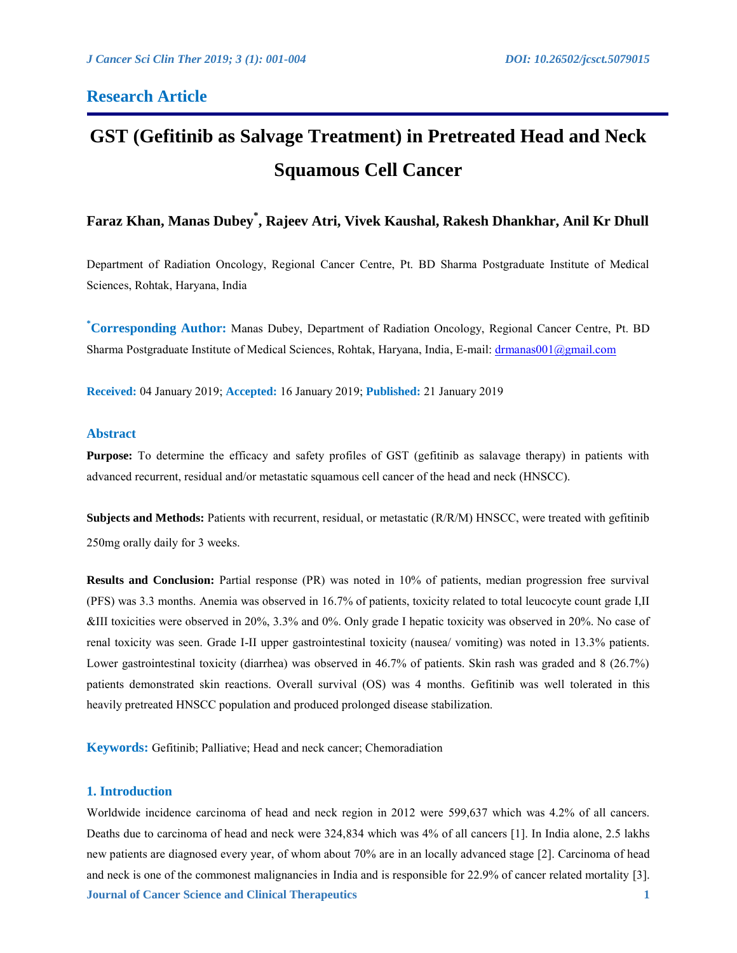# **Research Article**

# **GST (Gefitinib as Salvage Treatment) in Pretreated Head and Neck Squamous Cell Cancer**

# **Faraz Khan, Manas Dubey\* , Rajeev Atri, Vivek Kaushal, Rakesh Dhankhar, Anil Kr Dhull**

Department of Radiation Oncology, Regional Cancer Centre, Pt. BD Sharma Postgraduate Institute of Medical Sciences, Rohtak, Haryana, India

**\*Corresponding Author:** Manas Dubey, Department of Radiation Oncology, Regional Cancer Centre, Pt. BD Sharma Postgraduate Institute of Medical Sciences, Rohtak, Haryana, India, E-mail: [drmanas001@gmail.com](mailto:drmanas001@gmail.com)

**Received:** 04 January 2019; **Accepted:** 16 January 2019; **Published:** 21 January 2019

# **Abstract**

**Purpose:** To determine the efficacy and safety profiles of GST (gefitinib as salavage therapy) in patients with advanced recurrent, residual and/or metastatic squamous cell cancer of the head and neck (HNSCC).

**Subjects and Methods:** Patients with recurrent, residual, or metastatic (R/R/M) HNSCC, were treated with gefitinib 250mg orally daily for 3 weeks.

**Results and Conclusion:** Partial response (PR) was noted in 10% of patients, median progression free survival (PFS) was 3.3 months. Anemia was observed in 16.7% of patients, toxicity related to total leucocyte count grade I,II &III toxicities were observed in 20%, 3.3% and 0%. Only grade I hepatic toxicity was observed in 20%. No case of renal toxicity was seen. Grade I-II upper gastrointestinal toxicity (nausea/ vomiting) was noted in 13.3% patients. Lower gastrointestinal toxicity (diarrhea) was observed in 46.7% of patients. Skin rash was graded and 8 (26.7%) patients demonstrated skin reactions. Overall survival (OS) was 4 months. Gefitinib was well tolerated in this heavily pretreated HNSCC population and produced prolonged disease stabilization.

**Keywords:** Gefitinib; Palliative; Head and neck cancer; Chemoradiation

# **1. Introduction**

**Journal of Cancer Science and Clinical Therapeutics 1** Worldwide incidence carcinoma of head and neck region in 2012 were 599,637 which was 4.2% of all cancers. Deaths due to carcinoma of head and neck were 324,834 which was 4% of all cancers [1]. In India alone, 2.5 lakhs new patients are diagnosed every year, of whom about 70% are in an locally advanced stage [2]. Carcinoma of head and neck is one of the commonest malignancies in India and is responsible for 22.9% of cancer related mortality [3].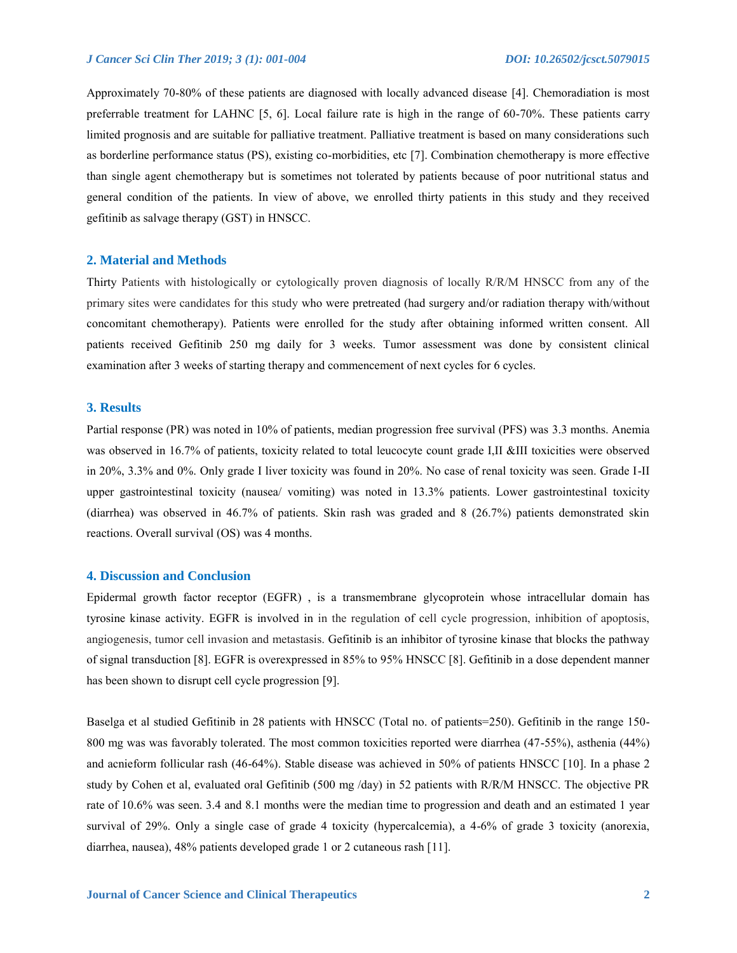Approximately 70-80% of these patients are diagnosed with locally advanced disease [4]. Chemoradiation is most preferrable treatment for LAHNC [5, 6]. Local failure rate is high in the range of 60-70%. These patients carry limited prognosis and are suitable for palliative treatment. Palliative treatment is based on many considerations such as borderline performance status (PS), existing co-morbidities, etc [7]. Combination chemotherapy is more effective than single agent chemotherapy but is sometimes not tolerated by patients because of poor nutritional status and general condition of the patients. In view of above, we enrolled thirty patients in this study and they received gefitinib as salvage therapy (GST) in HNSCC.

## **2. Material and Methods**

Thirty Patients with histologically or cytologically proven diagnosis of locally R/R/M HNSCC from any of the primary sites were candidates for this study who were pretreated (had surgery and/or radiation therapy with/without concomitant chemotherapy). Patients were enrolled for the study after obtaining informed written consent. All patients received Gefitinib 250 mg daily for 3 weeks. Tumor assessment was done by consistent clinical examination after 3 weeks of starting therapy and commencement of next cycles for 6 cycles.

## **3. Results**

Partial response (PR) was noted in 10% of patients, median progression free survival (PFS) was 3.3 months. Anemia was observed in 16.7% of patients, toxicity related to total leucocyte count grade I, II &III toxicities were observed in 20%, 3.3% and 0%. Only grade I liver toxicity was found in 20%. No case of renal toxicity was seen. Grade I-II upper gastrointestinal toxicity (nausea/ vomiting) was noted in 13.3% patients. Lower gastrointestinal toxicity (diarrhea) was observed in 46.7% of patients. Skin rash was graded and 8 (26.7%) patients demonstrated skin reactions. Overall survival (OS) was 4 months.

# **4. Discussion and Conclusion**

Epidermal growth factor receptor (EGFR) , is a transmembrane glycoprotein whose intracellular domain has tyrosine kinase activity. EGFR is involved in in the regulation of cell cycle progression, inhibition of apoptosis, angiogenesis, tumor cell invasion and metastasis. Gefitinib is an inhibitor of tyrosine kinase that blocks the pathway of signal transduction [8]. EGFR is overexpressed in 85% to 95% HNSCC [8]. Gefitinib in a dose dependent manner has been shown to disrupt cell cycle progression [9].

Baselga et al studied Gefitinib in 28 patients with HNSCC (Total no. of patients=250). Gefitinib in the range 150- 800 mg was was favorably tolerated. The most common toxicities reported were diarrhea (47-55%), asthenia (44%) and acnieform follicular rash (46-64%). Stable disease was achieved in 50% of patients HNSCC [10]. In a phase 2 study by Cohen et al, evaluated oral Gefitinib (500 mg /day) in 52 patients with R/R/M HNSCC. The objective PR rate of 10.6% was seen. 3.4 and 8.1 months were the median time to progression and death and an estimated 1 year survival of 29%. Only a single case of grade 4 toxicity (hypercalcemia), a 4-6% of grade 3 toxicity (anorexia, diarrhea, nausea), 48% patients developed grade 1 or 2 cutaneous rash [11].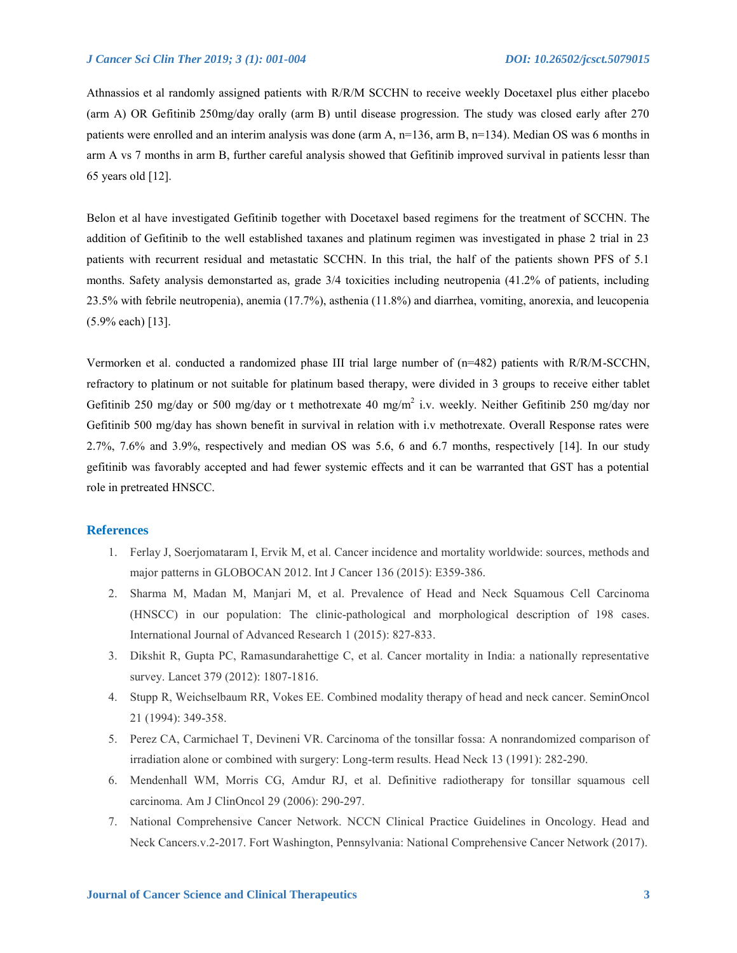Athnassios et al randomly assigned patients with R/R/M SCCHN to receive weekly Docetaxel plus either placebo (arm A) OR Gefitinib 250mg/day orally (arm B) until disease progression. The study was closed early after 270 patients were enrolled and an interim analysis was done (arm A, n=136, arm B, n=134). Median OS was 6 months in arm A vs 7 months in arm B, further careful analysis showed that Gefitinib improved survival in patients lessr than 65 years old [12].

Belon et al have investigated Gefitinib together with Docetaxel based regimens for the treatment of SCCHN. The addition of Gefitinib to the well established taxanes and platinum regimen was investigated in phase 2 trial in 23 patients with recurrent residual and metastatic SCCHN. In this trial, the half of the patients shown PFS of 5.1 months. Safety analysis demonstarted as, grade 3/4 toxicities including neutropenia (41.2% of patients, including 23.5% with febrile neutropenia), anemia (17.7%), asthenia (11.8%) and diarrhea, vomiting, anorexia, and leucopenia (5.9% each) [13].

Vermorken et al. conducted a randomized phase III trial large number of (n=482) patients with R/R/M-SCCHN, refractory to platinum or not suitable for platinum based therapy, were divided in 3 groups to receive either tablet Gefitinib 250 mg/day or 500 mg/day or t methotrexate 40 mg/m<sup>2</sup> i.v. weekly. Neither Gefitinib 250 mg/day nor Gefitinib 500 mg/day has shown benefit in survival in relation with i.v methotrexate. Overall Response rates were 2.7%, 7.6% and 3.9%, respectively and median OS was 5.6, 6 and 6.7 months, respectively [14]. In our study gefitinib was favorably accepted and had fewer systemic effects and it can be warranted that GST has a potential role in pretreated HNSCC.

#### **References**

- 1. Ferlay J, Soerjomataram I, Ervik M, et al. Cancer incidence and mortality worldwide: sources, methods and major patterns in GLOBOCAN 2012. Int J Cancer 136 (2015): E359-386.
- 2. Sharma M, Madan M, Manjari M, et al. Prevalence of Head and Neck Squamous Cell Carcinoma (HNSCC) in our population: The clinic-pathological and morphological description of 198 cases. International Journal of Advanced Research 1 (2015): 827-833.
- 3. Dikshit R, Gupta PC, Ramasundarahettige C, et al. Cancer mortality in India: a nationally representative survey. Lancet 379 (2012): 1807-1816.
- 4. Stupp R, Weichselbaum RR, Vokes EE. Combined modality therapy of head and neck cancer. SeminOncol 21 (1994): 349-358.
- 5. Perez CA, Carmichael T, Devineni VR. Carcinoma of the tonsillar fossa: A nonrandomized comparison of irradiation alone or combined with surgery: Long-term results. Head Neck 13 (1991): 282-290.
- 6. Mendenhall WM, Morris CG, Amdur RJ, et al. Definitive radiotherapy for tonsillar squamous cell carcinoma. Am J ClinOncol 29 (2006): 290-297.
- 7. National Comprehensive Cancer Network. NCCN Clinical Practice Guidelines in Oncology. Head and Neck Cancers.v.2-2017. Fort Washington, Pennsylvania: National Comprehensive Cancer Network (2017).